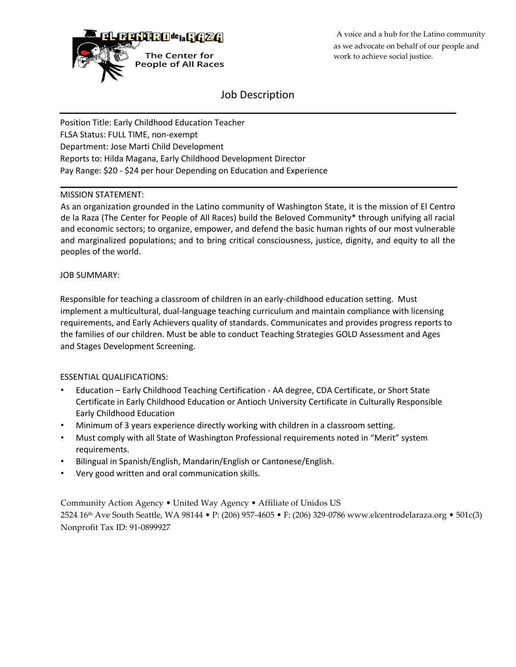

A voice and a hub for the Latino community as we advocate on behalf of our people and work to achieve social justice.

# Job Description

Position Title: Early Childhood Education Teacher FLSA Status: FULL TIME, non-exempt Department: Jose Marti Child Development Reports to: Hilda Magana, Early Childhood Development Director Pay Range: \$20 - \$24 per hour Depending on Education and Experience

### MISSION STATEMENT:

As an organization grounded in the Latino community of Washington State, it is the mission of El Centro de la Raza (The Center for People of All Races) build the Beloved Community\* through unifying all racial and economic sectors; to organize, empower, and defend the basic human rights of our most vulnerable and marginalized populations; and to bring critical consciousness, justice, dignity, and equity to all the peoples of the world.

### JOB SUMMARY:

Responsible for teaching a classroom of children in an early-childhood education setting. Must implement a multicultural, dual-language teaching curriculum and maintain compliance with licensing requirements, and Early Achievers quality of standards. Communicates and provides progress reports to the families of our children. Must be able to conduct Teaching Strategies GOLD Assessment and Ages and Stages Development Screening.

### ESSENTIAL QUALIFICATIONS:

- Education Early Childhood Teaching Certification AA degree, CDA Certificate, or Short State Certificate in Early Childhood Education or Antioch University Certificate in Culturally Responsible Early Childhood Education
- Minimum of 3 years experience directly working with children in a classroom setting.
- Must comply with all State of Washington Professional requirements noted in "Merit" system requirements.
- Bilingual in Spanish/English, Mandarin/English or Cantonese/English.
- Very good written and oral communication skills.

Community Action Agency • United Way Agency • Affiliate of Unidos US

2524 16th Ave South Seattle, WA 98144 • P: (206) 957-4605 • F: (206) 329-0786 www.elcentrodelaraza.org • 501c(3) Nonprofit Tax ID: 91-0899927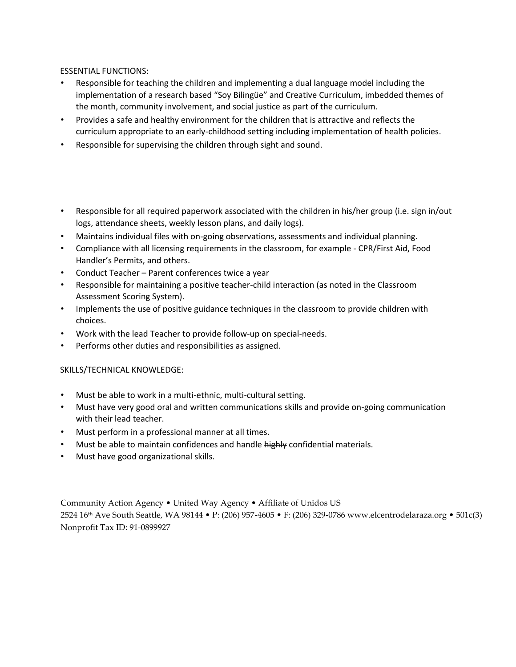## ESSENTIAL FUNCTIONS:

- Responsible for teaching the children and implementing a dual language model including the implementation of a research based "Soy Bilingüe" and Creative Curriculum, imbedded themes of the month, community involvement, and social justice as part of the curriculum.
- Provides a safe and healthy environment for the children that is attractive and reflects the curriculum appropriate to an early-childhood setting including implementation of health policies.
- Responsible for supervising the children through sight and sound.

## • Responsible for all required paperwork associated with the children in his/her group (i.e. sign in/out logs, attendance sheets, weekly lesson plans, and daily logs).

- Maintains individual files with on-going observations, assessments and individual planning.
- Compliance with all licensing requirements in the classroom, for example CPR/First Aid, Food Handler's Permits, and others.
- Conduct Teacher Parent conferences twice a year
- Responsible for maintaining a positive teacher-child interaction (as noted in the Classroom Assessment Scoring System).
- Implements the use of positive guidance techniques in the classroom to provide children with choices.
- Work with the lead Teacher to provide follow-up on special-needs.
- Performs other duties and responsibilities as assigned.

### SKILLS/TECHNICAL KNOWLEDGE:

- Must be able to work in a multi-ethnic, multi-cultural setting.
- Must have very good oral and written communications skills and provide on-going communication with their lead teacher.
- Must perform in a professional manner at all times.
- Must be able to maintain confidences and handle highly confidential materials.
- Must have good organizational skills.

Community Action Agency • United Way Agency • Affiliate of Unidos US

2524 16th Ave South Seattle, WA 98144 • P: (206) 957-4605 • F: (206) 329-0786 www.elcentrodelaraza.org • 501c(3) Nonprofit Tax ID: 91-0899927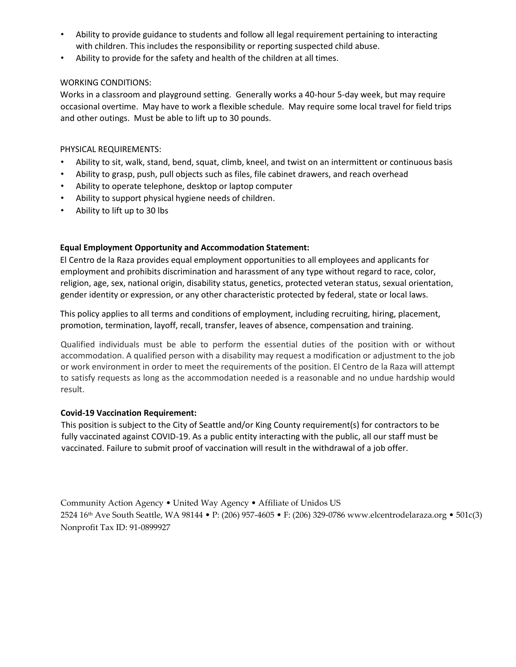- Ability to provide guidance to students and follow all legal requirement pertaining to interacting with children. This includes the responsibility or reporting suspected child abuse.
- Ability to provide for the safety and health of the children at all times.

## WORKING CONDITIONS:

Works in a classroom and playground setting. Generally works a 40-hour 5-day week, but may require occasional overtime. May have to work a flexible schedule. May require some local travel for field trips and other outings. Must be able to lift up to 30 pounds.

## PHYSICAL REQUIREMENTS:

- Ability to sit, walk, stand, bend, squat, climb, kneel, and twist on an intermittent or continuous basis
- Ability to grasp, push, pull objects such as files, file cabinet drawers, and reach overhead
- Ability to operate telephone, desktop or laptop computer
- Ability to support physical hygiene needs of children.
- Ability to lift up to 30 lbs

## **Equal Employment Opportunity and Accommodation Statement:**

El Centro de la Raza provides equal employment opportunities to all employees and applicants for employment and prohibits discrimination and harassment of any type without regard to race, color, religion, age, sex, national origin, disability status, genetics, protected veteran status, sexual orientation, gender identity or expression, or any other characteristic protected by federal, state or local laws.

This policy applies to all terms and conditions of employment, including recruiting, hiring, placement, promotion, termination, layoff, recall, transfer, leaves of absence, compensation and training.

Qualified individuals must be able to perform the essential duties of the position with or without accommodation. A qualified person with a disability may request a modification or adjustment to the job or work environment in order to meet the requirements of the position. El Centro de la Raza will attempt to satisfy requests as long as the accommodation needed is a reasonable and no undue hardship would result.

### **Covid-19 Vaccination Requirement:**

This position is subject to the City of Seattle and/or King County requirement(s) for contractors to be fully vaccinated against COVID-19. As a public entity interacting with the public, all our staff must be vaccinated. Failure to submit proof of vaccination will result in the withdrawal of a job offer.

Community Action Agency • United Way Agency • Affiliate of Unidos US 2524 16th Ave South Seattle, WA 98144 • P: (206) 957-4605 • F: (206) 329-0786 www.elcentrodelaraza.org • 501c(3) Nonprofit Tax ID: 91-0899927